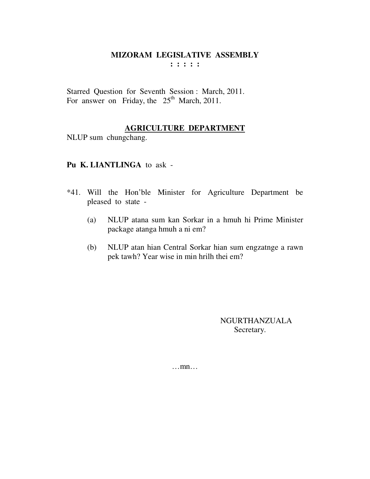Starred Question for Seventh Session : March, 2011. For answer on Friday, the 25<sup>th</sup> March, 2011.

#### **AGRICULTURE DEPARTMENT**

NLUP sum chungchang.

# **Pu K. LIANTLINGA** to ask -

- \*41. Will the Hon'ble Minister for Agriculture Department be pleased to state -
	- (a) NLUP atana sum kan Sorkar in a hmuh hi Prime Minister package atanga hmuh a ni em?
	- (b) NLUP atan hian Central Sorkar hian sum engzatnge a rawn pek tawh? Year wise in min hrilh thei em?

NGURTHANZUALA Secretary.

…mn…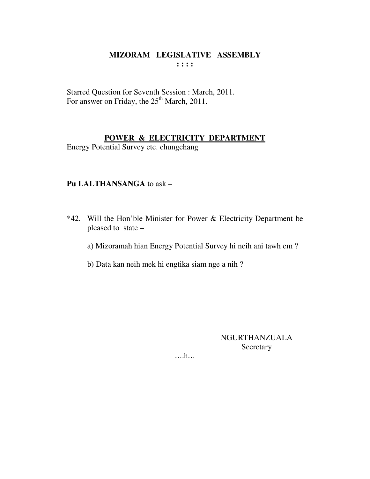Starred Question for Seventh Session : March, 2011. For answer on Friday, the 25<sup>th</sup> March, 2011.

# POWER & ELECTRICITY DEPARTMENT

Energy Potential Survey etc. chungchang

# Pu LALTHANSANGA to ask -

\*42. Will the Hon'ble Minister for Power & Electricity Department be pleased to state -

a) Mizoramah hian Energy Potential Survey hi neih ani tawh em?

b) Data kan neih mek hi engtika siam nge a nih?

**NGURTHANZUALA** Secretary

 $\dots h\dots$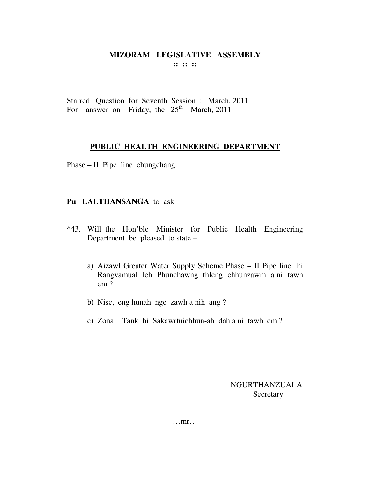Starred Question for Seventh Session : March, 2011 For answer on Friday, the  $25<sup>th</sup>$  March, 2011

#### **PUBLIC HEALTH ENGINEERING DEPARTMENT**

Phase – II Pipe line chungchang.

# **Pu LALTHANSANGA** to ask –

- \*43. Will the Hon'ble Minister for Public Health Engineering Department be pleased to state –
	- a) Aizawl Greater Water Supply Scheme Phase II Pipe line hi Rangvamual leh Phunchawng thleng chhunzawm a ni tawh em ?
	- b) Nise, eng hunah nge zawh a nih ang ?
	- c) Zonal Tank hi Sakawrtuichhun-ah dah a ni tawh em ?

NGURTHANZUALA Secretary

…mr…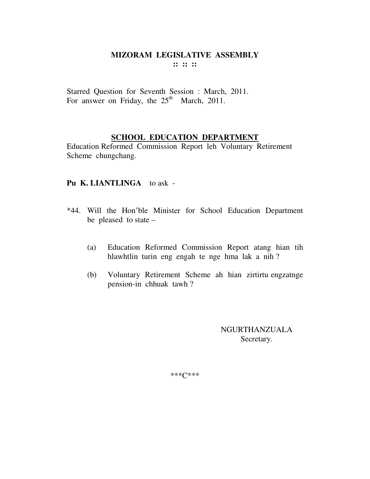### MIZORAM LEGISLATIVE ASSEMBLY  $\cdots$   $\cdots$   $\cdots$

Starred Question for Seventh Session : March, 2011. For answer on Friday, the 25<sup>th</sup> March, 2011.

# **SCHOOL EDUCATION DEPARTMENT**

Education Reformed Commission Report leh Voluntary Retirement Scheme chungchang.

#### Pu K. LIANTLINGA to ask -

- \*44. Will the Hon'ble Minister for School Education Department be pleased to state  $-$ 
	- $(a)$ Education Reformed Commission Report atang hian tih hlawhtlin turin eng engah te nge hma lak a nih?
	- Voluntary Retirement Scheme ah hian zirtirtu engzatnge (b) pension-in chhuak tawh?

**NGURTHANZUALA** Secretary.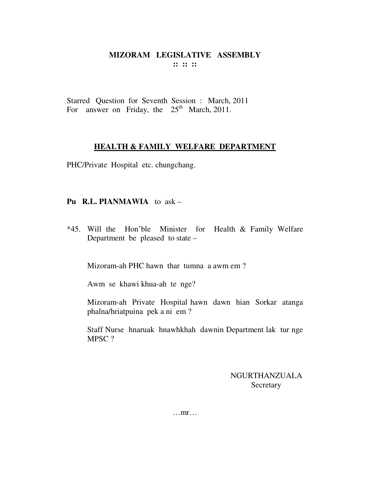Starred Question for Seventh Session : March, 2011 For answer on Friday, the  $25<sup>th</sup>$  March, 2011.

#### **HEALTH & FAMILY WELFARE DEPARTMENT**

PHC/Private Hospital etc. chungchang.

# **Pu R.L. PIANMAWIA** to ask –

\*45. Will the Hon'ble Minister for Health & Family Welfare Department be pleased to state –

Mizoram-ah PHC hawn thar tumna a awm em ?

Awm se khawi khua-ah te nge?

 Mizoram-ah Private Hospital hawn dawn hian Sorkar atanga phalna/hriatpuina pek a ni em ?

 Staff Nurse hnaruak hnawhkhah dawnin Department lak tur nge MPSC ?

> NGURTHANZUALA Secretary

…mr…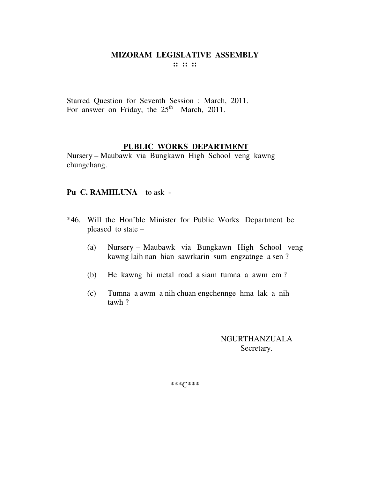Starred Question for Seventh Session : March, 2011. For answer on Friday, the  $25<sup>th</sup>$  March, 2011.

#### **PUBLIC WORKS DEPARTMENT**

Nursery – Maubawk via Bungkawn High School veng kawng chungchang.

#### **Pu C. RAMHLUNA** to ask -

- \*46. Will the Hon'ble Minister for Public Works Department be pleased to state –
	- (a) Nursery Maubawk via Bungkawn High School veng kawng laih nan hian sawrkarin sum engzatnge a sen ?
	- (b) He kawng hi metal road a siam tumna a awm em ?
	- (c) Tumna a awm a nih chuan engchennge hma lak a nih tawh ?

NGURTHANZUALA Secretary.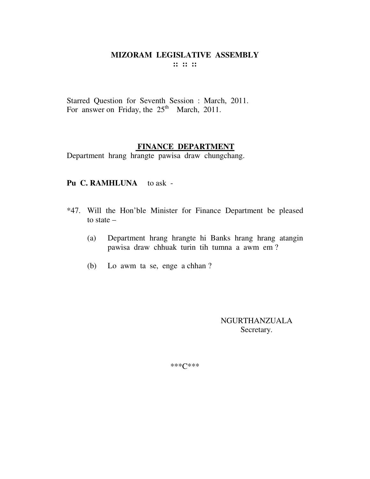Starred Question for Seventh Session : March, 2011. For answer on Friday, the  $25<sup>th</sup>$  March, 2011.

#### **FINANCE DEPARTMENT**

Department hrang hrangte pawisa draw chungchang.

#### Pu C. RAMHLUNA to ask -

- \*47. Will the Hon'ble Minister for Finance Department be pleased to state –
	- (a) Department hrang hrangte hi Banks hrang hrang atangin pawisa draw chhuak turin tih tumna a awm em ?
	- (b) Lo awm ta se, enge a chhan ?

NGURTHANZUALA Secretary.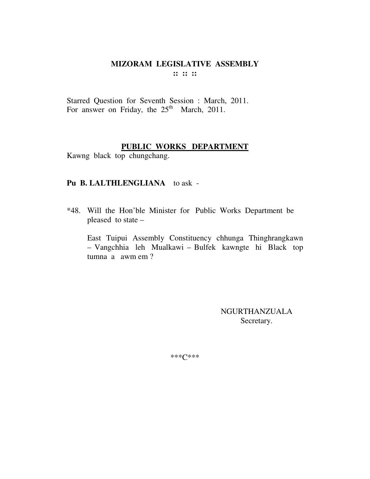# MIZORAM LEGISLATIVE ASSEMBLY  $\mathbb{R}^n \times \mathbb{R}^n$

Starred Question for Seventh Session : March, 2011. For answer on Friday, the 25<sup>th</sup> March, 2011.

# PUBLIC WORKS DEPARTMENT

Kawng black top chungchang.

#### Pu B. LALTHLENGLIANA to ask -

\*48. Will the Hon'ble Minister for Public Works Department be pleased to state -

East Tuipui Assembly Constituency chhunga Thinghrangkawn - Vangchhia leh Mualkawi - Bulfek kawngte hi Black top tumna a awm em ?

> **NGURTHANZUALA** Secretary.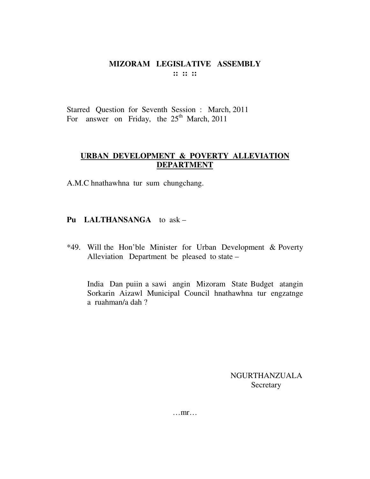# MIZORAM LEGISLATIVE ASSEMBLY  $\cdots$   $\cdots$   $\cdots$

Starred Question for Seventh Session : March, 2011 For answer on Friday, the  $25<sup>th</sup>$  March, 2011

# URBAN DEVELOPMENT & POVERTY ALLEVIATION **DEPARTMENT**

A.M.C hnathawhna tur sum chungchang.

# Pu LALTHANSANGA to ask -

\*49. Will the Hon'ble Minister for Urban Development & Poverty Alleviation Department be pleased to state –

India Dan puiin a sawi angin Mizoram State Budget atangin Sorkarin Aizawl Municipal Council hnathawhna tur engzatnge a ruahman/a dah?

> NGURTHANZUALA Secretary

 $\dots$ mr $\dots$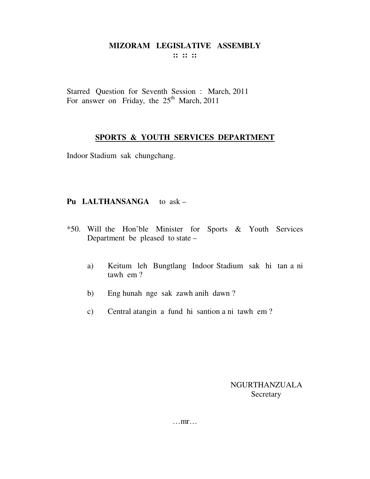Starred Question for Seventh Session : March, 2011 For answer on Friday, the 25<sup>th</sup> March, 2011

# **SPORTS & YOUTH SERVICES DEPARTMENT**

Indoor Stadium sak chungchang.

# **Pu LALTHANSANGA** to ask –

- \*50. Will the Hon'ble Minister for Sports & Youth Services Department be pleased to state –
	- a) Keitum leh Bungtlang Indoor Stadium sak hi tan a ni tawh em ?
	- b) Eng hunah nge sak zawh anih dawn ?
	- c) Central atangin a fund hi santion a ni tawh em ?

# NGURTHANZUALA **Secretary**

…mr…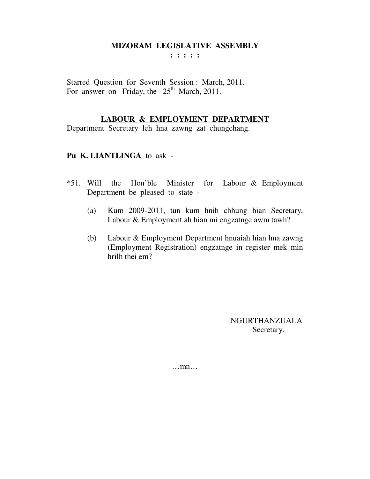# **MIZORAM LEGISLATIVE ASSEMBLY**

**: : : : :** 

Starred Question for Seventh Session : March, 2011. For answer on Friday, the  $25<sup>th</sup>$  March, 2011.

# **LABOUR & EMPLOYMENT DEPARTMENT**

Department Secretary leh hna zawng zat chungchang.

# **Pu K. LIANTLINGA** to ask -

- \*51. Will the Hon'ble Minister for Labour & Employment Department be pleased to state -
	- (a) Kum 2009-2011, tun kum hnih chhung hian Secretary, Labour & Employment ah hian mi engzatnge awm tawh?
	- (b) Labour & Employment Department hnuaiah hian hna zawng (Employment Registration) engzatnge in register mek min hrilh thei em?

NGURTHANZUALA Secretary.

…mn…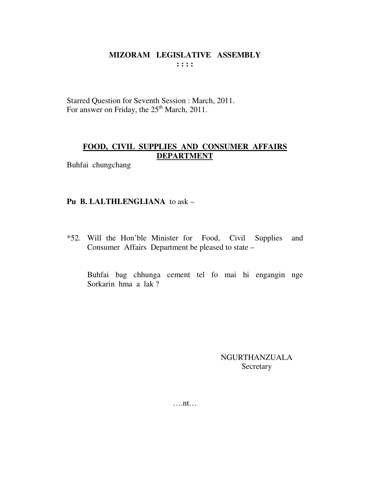Starred Question for Seventh Session : March, 2011. For answer on Friday, the 25<sup>th</sup> March, 2011.

# **FOOD, CIVIL SUPPLIES AND CONSUMER AFFAIRS DEPARTMENT**

Buhfai chungchang

#### **Pu B. LALTHLENGLIANA** to ask –

\*52. Will the Hon'ble Minister for Food, Civil Supplies and Consumer Affairs Department be pleased to state –

 Buhfai bag chhunga cement tel fo mai hi engangin nge Sorkarin hma a lak ?

> NGURTHANZUALA Secretary

….nt…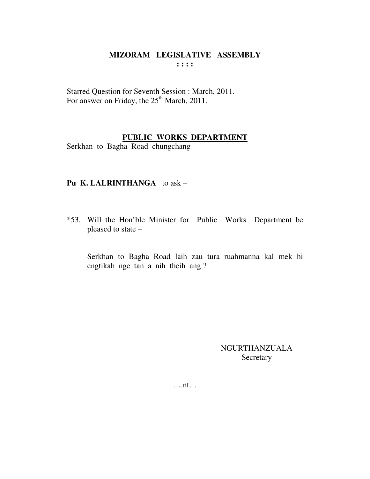Starred Question for Seventh Session : March, 2011. For answer on Friday, the 25<sup>th</sup> March, 2011.

# **PUBLIC WORKS DEPARTMENT**

Serkhan to Bagha Road chungchang

# **Pu K. LALRINTHANGA** to ask –

\*53. Will the Hon'ble Minister for Public Works Department be pleased to state –

 Serkhan to Bagha Road laih zau tura ruahmanna kal mek hi engtikah nge tan a nih theih ang ?

> NGURTHANZUALA Secretary

….nt…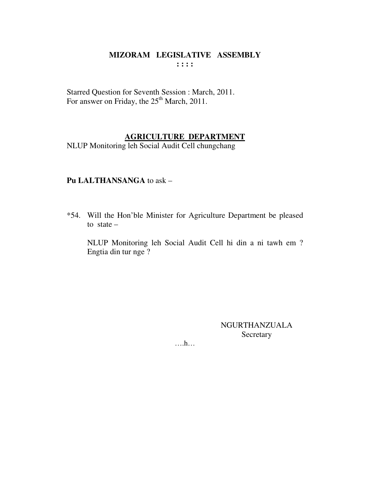# MIZORAM LEGISLATIVE ASSEMBLY  $\cdots$

Starred Question for Seventh Session : March, 2011. For answer on Friday, the 25<sup>th</sup> March, 2011.

# **AGRICULTURE DEPARTMENT**

NLUP Monitoring leh Social Audit Cell chungchang

# Pu LALTHANSANGA to ask -

\*54. Will the Hon'ble Minister for Agriculture Department be pleased to state  $-$ 

NLUP Monitoring leh Social Audit Cell hi din a ni tawh em ? Engtia din tur nge ?

> NGURTHANZUALA Secretary

 $\dots$ ...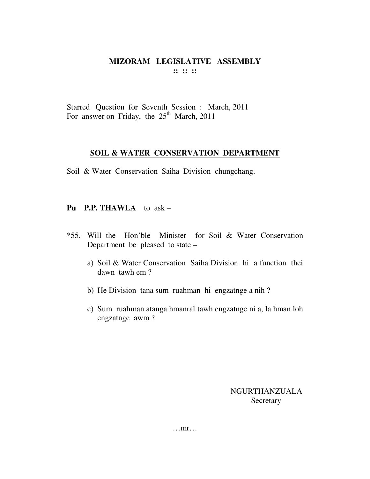# MIZORAM LEGISLATIVE ASSEMBLY  $\mathbf{11} \mathbf{12} \mathbf{13}$

Starred Question for Seventh Session : March, 2011 For answer on Friday, the 25<sup>th</sup> March, 2011

#### SOIL & WATER CONSERVATION DEPARTMENT

Soil & Water Conservation Saiha Division chungchang.

# Pu P.P. THAWLA to  $ask -$

- \*55. Will the Hon'ble Minister for Soil & Water Conservation Department be pleased to state
	- a) Soil & Water Conservation Saiha Division hi a function thei dawn tawh em?
	- b) He Division tana sum ruahman hi engzatnge a nih?
	- c) Sum ruahman atanga hmanral tawh engzatnge ni a, la hman loh engzatnge awm?

NGURTHANZUALA Secretary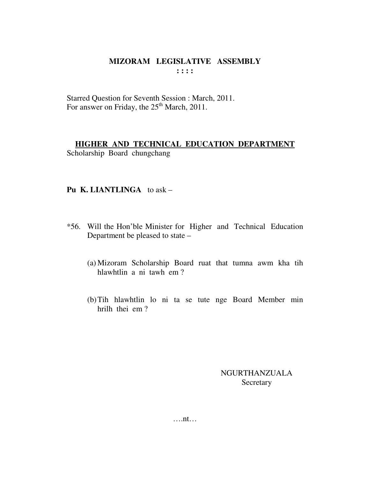Starred Question for Seventh Session : March, 2011. For answer on Friday, the 25<sup>th</sup> March, 2011.

# HIGHER AND TECHNICAL EDUCATION DEPARTMENT Scholarship Board chungchang

# Pu K. LIANTLINGA to  $ask -$

- \*56. Will the Hon'ble Minister for Higher and Technical Education Department be pleased to state –
	- (a) Mizoram Scholarship Board ruat that tumna awm kha tih hlawhtlin a ni tawh em?
	- (b) Tih hlawhtlin lo ni ta se tute nge Board Member min hrilh thei em?

**NGURTHANZUALA** Secretary

 $\dots$ nt...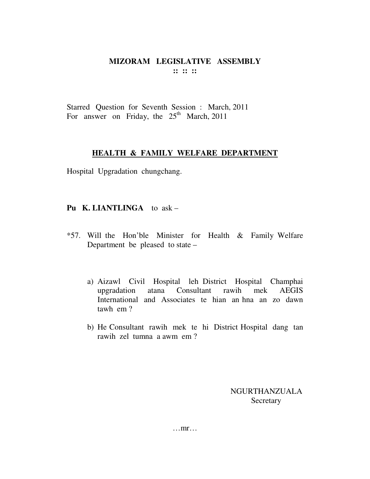# MIZORAM LEGISLATIVE ASSEMBLY  $\mathbf{11} \mathbf{12} \mathbf{13}$

Starred Question for Seventh Session : March, 2011 For answer on Friday, the  $25<sup>th</sup>$  March, 2011

#### **HEALTH & FAMILY WELFARE DEPARTMENT**

Hospital Upgradation chungchang.

# Pu K. LIANTLINGA to ask -

- \*57. Will the Hon'ble Minister for Health & Family Welfare Department be pleased to state –
	- a) Aizawl Civil Hospital leh District Hospital Champhai atana Consultant rawih mek **AEGIS** upgradation International and Associates te hian an hna an zo dawn tawh em?
	- b) He Consultant rawih mek te hi District Hospital dang tan rawih zel tumna a awm em?

NGURTHANZUALA Secretary

 $\dots$  mr...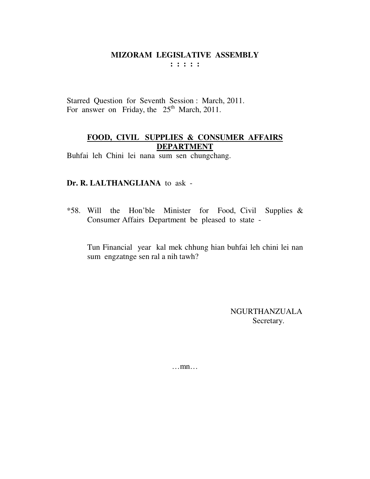Starred Question for Seventh Session : March, 2011. For answer on Friday, the  $25<sup>th</sup>$  March, 2011.

# **FOOD, CIVIL SUPPLIES & CONSUMER AFFAIRS DEPARTMENT**

Buhfai leh Chini lei nana sum sen chungchang.

#### **Dr. R. LALTHANGLIANA** to ask -

\*58. Will the Hon'ble Minister for Food, Civil Supplies & Consumer Affairs Department be pleased to state -

Tun Financial year kal mek chhung hian buhfai leh chini lei nan sum engzatnge sen ral a nih tawh?

> NGURTHANZUALA Secretary.

…mn…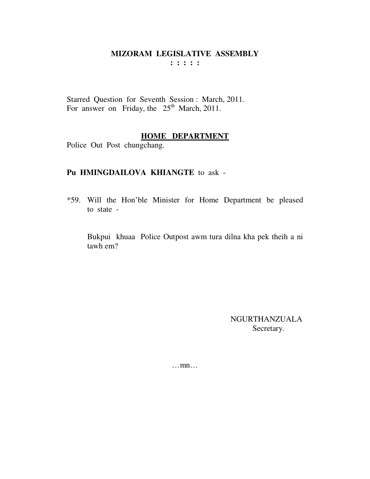Starred Question for Seventh Session: March, 2011. For answer on Friday, the  $25<sup>th</sup>$  March, 2011.

#### **HOME DEPARTMENT**

Police Out Post chungchang.

# Pu HMINGDAILOVA KHIANGTE to ask -

\*59. Will the Hon'ble Minister for Home Department be pleased to state -

Bukpui khuaa Police Outpost awm tura dilna kha pek theih a ni tawh em?

> NGURTHANZUALA Secretary.

 $\dots$ mn $\dots$